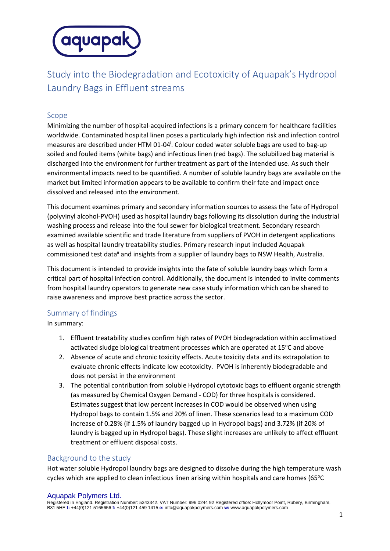

# Study into the Biodegradation and Ecotoxicity of Aquapak's Hydropol Laundry Bags in Effluent streams

# Scope

Minimizing the number of hospital-acquired infections is a primary concern for healthcare facilities worldwide. Contaminated hospital linen poses a particularly high infection risk and infection control measures are described under HTM 01-04<sup>i</sup>. Colour coded water soluble bags are used to bag-up soiled and fouled items (white bags) and infectious linen (red bags). The solubilized bag material is discharged into the environment for further treatment as part of the intended use. As such their environmental impacts need to be quantified. A number of soluble laundry bags are available on the market but limited information appears to be available to confirm their fate and impact once dissolved and released into the environment.

This document examines primary and secondary information sources to assess the fate of Hydropol (polyvinyl alcohol-PVOH) used as hospital laundry bags following its dissolution during the industrial washing process and release into the foul sewer for biological treatment. Secondary research examined available scientific and trade literature from suppliers of PVOH in detergent applications as well as hospital laundry treatability studies. Primary research input included Aquapak commissioned test data<sup>ii</sup> and insights from a supplier of laundry bags to NSW Health, Australia.

This document is intended to provide insights into the fate of soluble laundry bags which form a critical part of hospital infection control. Additionally, the document is intended to invite comments from hospital laundry operators to generate new case study information which can be shared to raise awareness and improve best practice across the sector.

#### Summary of findings

In summary:

- 1. Effluent treatability studies confirm high rates of PVOH biodegradation within acclimatized activated sludge biological treatment processes which are operated at 15°C and above
- 2. Absence of acute and chronic toxicity effects. Acute toxicity data and its extrapolation to evaluate chronic effects indicate low ecotoxicity. PVOH is inherently biodegradable and does not persist in the environment
- 3. The potential contribution from soluble Hydropol cytotoxic bags to effluent organic strength (as measured by Chemical Oxygen Demand - COD) for three hospitals is considered. Estimates suggest that low percent increases in COD would be observed when using Hydropol bags to contain 1.5% and 20% of linen. These scenarios lead to a maximum COD increase of 0.28% (if 1.5% of laundry bagged up in Hydropol bags) and 3.72% (if 20% of laundry is bagged up in Hydropol bags). These slight increases are unlikely to affect effluent treatment or effluent disposal costs.

#### Background to the study

Hot water soluble Hydropol laundry bags are designed to dissolve during the high temperature wash cycles which are applied to clean infectious linen arising within hospitals and care homes (65°C)

#### Aquapak Polymers Ltd.

Registered in England. Registration Number: 5343342. VAT Number: 996 0244 92 Registered office: Hollymoor Point, Rubery, Birmingham, B31 5HE **t:** +44(0)121 5165656 **f:** +44(0)121 459 1415 **e:** info@aquapakpolymers.com **w:** www.aquapakpolymers.com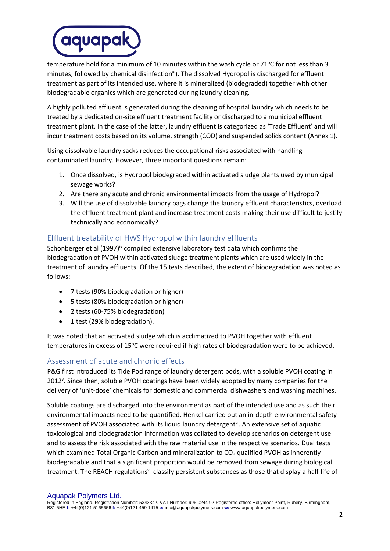# aquapak

temperature hold for a minimum of 10 minutes within the wash cycle or  $71^{\circ}$ C for not less than 3 minutes; followed by chemical disinfection<sup>iii</sup>). The dissolved Hydropol is discharged for effluent treatment as part of its intended use, where it is mineralized (biodegraded) together with other biodegradable organics which are generated during laundry cleaning.

A highly polluted effluent is generated during the cleaning of hospital laundry which needs to be treated by a dedicated on-site effluent treatment facility or discharged to a municipal effluent treatment plant. In the case of the latter, laundry effluent is categorized as 'Trade Effluent' and will incur treatment costs based on its volume, strength (COD) and suspended solids content (Annex 1).

Using dissolvable laundry sacks reduces the occupational risks associated with handling contaminated laundry. However, three important questions remain:

- 1. Once dissolved, is Hydropol biodegraded within activated sludge plants used by municipal sewage works?
- 2. Are there any acute and chronic environmental impacts from the usage of Hydropol?
- 3. Will the use of dissolvable laundry bags change the laundry effluent characteristics, overload the effluent treatment plant and increase treatment costs making their use difficult to justify technically and economically?

# Effluent treatability of HWS Hydropol within laundry effluents

Schonberger et al  $(1997)^{iv}$  compiled extensive laboratory test data which confirms the biodegradation of PVOH within activated sludge treatment plants which are used widely in the treatment of laundry effluents. Of the 15 tests described, the extent of biodegradation was noted as follows:

- 7 tests (90% biodegradation or higher)
- 5 tests (80% biodegradation or higher)
- 2 tests (60-75% biodegradation)
- 1 test (29% biodegradation).

It was noted that an activated sludge which is acclimatized to PVOH together with effluent temperatures in excess of 15°C were required if high rates of biodegradation were to be achieved.

# Assessment of acute and chronic effects

P&G first introduced its Tide Pod range of laundry detergent pods, with a soluble PVOH coating in 2012<sup>v</sup>. Since then, soluble PVOH coatings have been widely adopted by many companies for the delivery of 'unit-dose' chemicals for domestic and commercial dishwashers and washing machines.

Soluble coatings are discharged into the environment as part of the intended use and as such their environmental impacts need to be quantified. Henkel carried out an in-depth environmental safety assessment of PVOH associated with its liquid laundry detergent $v^i$ . An extensive set of aquatic toxicological and biodegradation information was collated to develop scenarios on detergent use and to assess the risk associated with the raw material use in the respective scenarios. Dual tests which examined Total Organic Carbon and mineralization to CO<sub>2</sub> qualified PVOH as inherently biodegradable and that a significant proportion would be removed from sewage during biological treatment. The REACH regulations<sup>vii</sup> classify persistent substances as those that display a half-life of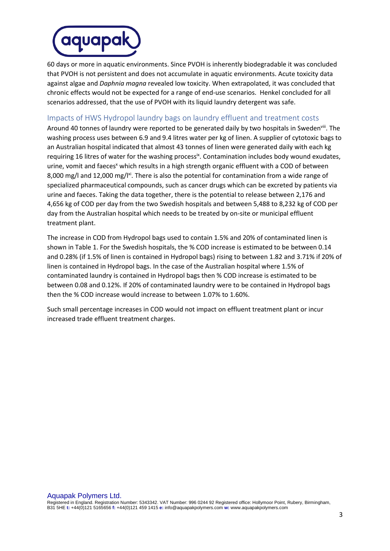

60 days or more in aquatic environments. Since PVOH is inherently biodegradable it was concluded that PVOH is not persistent and does not accumulate in aquatic environments. Acute toxicity data against algae and *Daphnia magna* revealed low toxicity. When extrapolated, it was concluded that chronic effects would not be expected for a range of end-use scenarios. Henkel concluded for all scenarios addressed, that the use of PVOH with its liquid laundry detergent was safe.

### Impacts of HWS Hydropol laundry bags on laundry effluent and treatment costs

Around 40 tonnes of laundry were reported to be generated daily by two hospitals in Sweden<sup>viii</sup>. The washing process uses between 6.9 and 9.4 litres water per kg of linen. A supplier of cytotoxic bags to an Australian hospital indicated that almost 43 tonnes of linen were generated daily with each kg requiring 16 litres of water for the washing process<sup>ix</sup>. Contamination includes body wound exudates, urine, vomit and faeces<sup>x</sup> which results in a high strength organic effluent with a COD of between 8,000 mg/l and 12,000 mg/l<sup>xi</sup>. There is also the potential for contamination from a wide range of specialized pharmaceutical compounds, such as cancer drugs which can be excreted by patients via urine and faeces. Taking the data together, there is the potential to release between 2,176 and 4,656 kg of COD per day from the two Swedish hospitals and between 5,488 to 8,232 kg of COD per day from the Australian hospital which needs to be treated by on-site or municipal effluent treatment plant.

The increase in COD from Hydropol bags used to contain 1.5% and 20% of contaminated linen is shown in Table 1. For the Swedish hospitals, the % COD increase is estimated to be between 0.14 and 0.28% (if 1.5% of linen is contained in Hydropol bags) rising to between 1.82 and 3.71% if 20% of linen is contained in Hydropol bags. In the case of the Australian hospital where 1.5% of contaminated laundry is contained in Hydropol bags then % COD increase is estimated to be between 0.08 and 0.12%. If 20% of contaminated laundry were to be contained in Hydropol bags then the % COD increase would increase to between 1.07% to 1.60%.

Such small percentage increases in COD would not impact on effluent treatment plant or incur increased trade effluent treatment charges.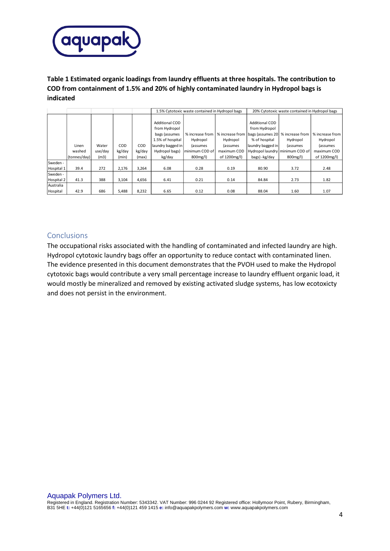

# **Table 1 Estimated organic loadings from laundry effluents at three hospitals. The contribution to COD from containment of 1.5% and 20% of highly contaminated laundry in Hydropol bags is indicated**

|            |              |         |        |            | 1.5% Cytotoxic waste contained in Hydropol bags |                 |                 | 20% Cytotoxic waste contained in Hydropol bags |                                 |                 |
|------------|--------------|---------|--------|------------|-------------------------------------------------|-----------------|-----------------|------------------------------------------------|---------------------------------|-----------------|
|            |              |         |        |            |                                                 |                 |                 |                                                |                                 |                 |
|            |              |         |        |            | <b>Additional COD</b>                           |                 |                 | <b>Additional COD</b>                          |                                 |                 |
|            |              |         |        |            | from Hydropol                                   |                 |                 | from Hydropol                                  |                                 |                 |
|            |              |         |        |            | bags (assumes                                   | % increase from | % increase from | bags (assumes 20 % increase from               |                                 | % increase from |
|            |              |         |        |            | 1.5% of hospital                                | Hydropol        | Hydropol        | % of hospital                                  | Hydropol                        | Hydropol        |
|            | Linen        | Water   | COD    | <b>COD</b> | laundry bagged in                               | <i>(assumes</i> | <i>(assumes</i> | laundry bagged in                              | <i>(assumes</i>                 | (assumes        |
|            | washed       | use/day | kg/day | kg/day     | Hydropol bags)                                  | lminimum COD of | maximum COD     |                                                | Hydropol laundry minimum COD of | maximum COD     |
|            | (tonnes/day) | (m3)    | (min)  | (max)      | kg/day                                          | 800mg/l)        | of 1200mg/l)    | bags) - kg/day                                 | 800mg/l)                        | of 1200mg/l)    |
| Sweden -   |              |         |        |            |                                                 |                 |                 |                                                |                                 |                 |
| Hospital 1 | 39.4         | 272     | 2,176  | 3,264      | 6.08                                            | 0.28            | 0.19            | 80.90                                          | 3.72                            | 2.48            |
| Sweden -   |              |         |        |            |                                                 |                 |                 |                                                |                                 |                 |
| Hospital 2 | 41.3         | 388     | 3,104  | 4,656      | 6.41                                            | 0.21            | 0.14            | 84.84                                          | 2.73                            | 1.82            |
| Australia  |              |         |        |            |                                                 |                 |                 |                                                |                                 |                 |
| Hospital   | 42.9         | 686     | 5.488  | 8.232      | 6.65                                            | 0.12            | 0.08            | 88.04                                          | 1.60                            | 1.07            |

## Conclusions

The occupational risks associated with the handling of contaminated and infected laundry are high. Hydropol cytotoxic laundry bags offer an opportunity to reduce contact with contaminated linen. The evidence presented in this document demonstrates that the PVOH used to make the Hydropol cytotoxic bags would contribute a very small percentage increase to laundry effluent organic load, it would mostly be mineralized and removed by existing activated sludge systems, has low ecotoxicty and does not persist in the environment.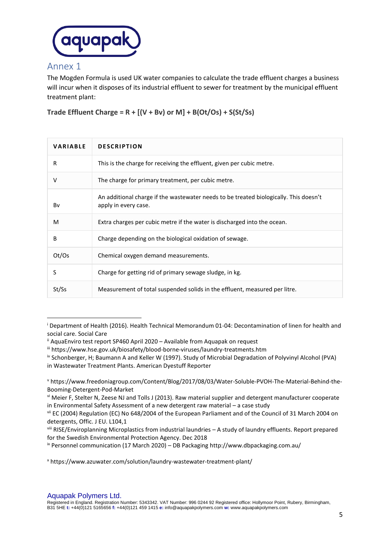

# Annex 1

The Mogden Formula is used UK water companies to calculate the trade effluent charges a business will incur when it disposes of its industrial effluent to sewer for treatment by the municipal effluent treatment plant:

**Trade Effluent Charge = R + [(V + Bv) or M] + B(Ot/Os) + S(St/Ss)**

| <b>VARIABLE</b> | <b>DESCRIPTION</b>                                                                                            |
|-----------------|---------------------------------------------------------------------------------------------------------------|
| R               | This is the charge for receiving the effluent, given per cubic metre.                                         |
| v               | The charge for primary treatment, per cubic metre.                                                            |
| Bv              | An additional charge if the wastewater needs to be treated biologically. This doesn't<br>apply in every case. |
| м               | Extra charges per cubic metre if the water is discharged into the ocean.                                      |
| B               | Charge depending on the biological oxidation of sewage.                                                       |
| Ot/Os           | Chemical oxygen demand measurements.                                                                          |
| S               | Charge for getting rid of primary sewage sludge, in kg.                                                       |
| St/Ss           | Measurement of total suspended solids in the effluent, measured per litre.                                    |

<sup>&</sup>lt;sup>i</sup> Department of Health (2016). Health Technical Memorandum 01-04: Decontamination of linen for health and social care. Social Care

<sup>x</sup> https://www.azuwater.com/solution/laundry-wastewater-treatment-plant/

Aquapak Polymers Ltd.

ii AquaEnviro test report SP460 April 2020 – Available from Aquapak on request

iii https://www.hse.gov.uk/biosafety/blood-borne-viruses/laundry-treatments.htm

iv Schonberger, H; Baumann A and Keller W (1997). Study of Microbial Degradation of Polyvinyl Alcohol (PVA) in Wastewater Treatment Plants. American Dyestuff Reporter

<sup>v</sup> https://www.freedoniagroup.com/Content/Blog/2017/08/03/Water-Soluble-PVOH-The-Material-Behind-the-Booming-Detergent-Pod-Market

vi Meier F, Stelter N, Zeese NJ and Tolls J (2013). Raw material supplier and detergent manufacturer cooperate in Environmental Safety Assessment of a new detergent raw material – a case study

vii EC (2004) Regulation (EC) No 648/2004 of the European Parliament and of the Council of 31 March 2004 on detergents, Offic. J EU. L104,1

viii RISE/Enviroplanning Microplastics from industrial laundries – A study of laundry effluents. Report prepared for the Swedish Environmental Protection Agency. Dec 2018

ix Personnel communication (17 March 2020) – DB Packaging http://www.dbpackaging.com.au/

Registered in England. Registration Number: 5343342. VAT Number: 996 0244 92 Registered office: Hollymoor Point, Rubery, Birmingham, B31 5HE **t:** +44(0)121 5165656 **f:** +44(0)121 459 1415 **e:** info@aquapakpolymers.com **w:** www.aquapakpolymers.com